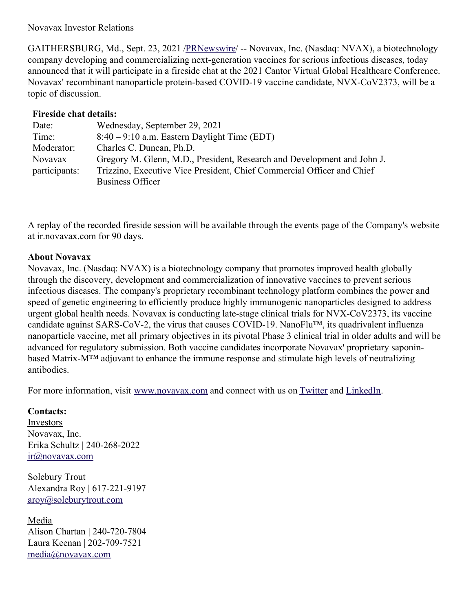## Novavax Investor Relations

GAITHERSBURG, Md., Sept. 23, 2021 [/PRNewswire](http://www.prnewswire.com/)/ -- Novavax, Inc. (Nasdaq: NVAX), a biotechnology company developing and commercializing next-generation vaccines for serious infectious diseases, today announced that it will participate in a fireside chat at the 2021 Cantor Virtual Global Healthcare Conference. Novavax' recombinant nanoparticle protein-based COVID-19 vaccine candidate, NVX-CoV2373, will be a topic of discussion.

## **Fireside chat details:**

| Date:         | Wednesday, September 29, 2021                                           |
|---------------|-------------------------------------------------------------------------|
| Time:         | $8:40 - 9:10$ a.m. Eastern Daylight Time (EDT)                          |
| Moderator:    | Charles C. Duncan, Ph.D.                                                |
| Novavax       | Gregory M. Glenn, M.D., President, Research and Development and John J. |
| participants: | Trizzino, Executive Vice President, Chief Commercial Officer and Chief  |
|               | <b>Business Officer</b>                                                 |

A replay of the recorded fireside session will be available through the events page of the Company's website at ir.novavax.com for 90 days.

## **About Novavax**

Novavax, Inc. (Nasdaq: NVAX) is a biotechnology company that promotes improved health globally through the discovery, development and commercialization of innovative vaccines to prevent serious infectious diseases. The company's proprietary recombinant technology platform combines the power and speed of genetic engineering to efficiently produce highly immunogenic nanoparticles designed to address urgent global health needs. Novavax is conducting late-stage clinical trials for NVX-CoV2373, its vaccine candidate against SARS-CoV-2, the virus that causes COVID-19. NanoFlu™, its quadrivalent influenza nanoparticle vaccine, met all primary objectives in its pivotal Phase 3 clinical trial in older adults and will be advanced for regulatory submission. Both vaccine candidates incorporate Novavax' proprietary saponinbased Matrix-M™ adjuvant to enhance the immune response and stimulate high levels of neutralizing antibodies.

For more information, visit [www.novavax.com](https://c212.net/c/link/?t=0&l=en&o=3299663-1&h=1893993741&u=https%3A%2F%2Fwww.novavax.com%2F&a=www.novavax.com) and connect with us on [Twitter](https://c212.net/c/link/?t=0&l=en&o=3299663-1&h=2411940082&u=https%3A%2F%2Ftwitter.com%2Fnovavax&a=Twitter) and [LinkedIn](https://c212.net/c/link/?t=0&l=en&o=3299663-1&h=1027704131&u=https%3A%2F%2Fwww.linkedin.com%2Fcompany%2Fnovavax&a=LinkedIn).

## **Contacts:**

**Investors** Novavax, Inc. Erika Schultz | 240-268-2022 [ir@novavax.com](mailto:ir@novavax.com)

Solebury Trout Alexandra Roy | 617-221-9197 [aroy@soleburytrout.com](mailto:aroy@soleburytrout.com)

Media Alison Chartan | 240-720-7804 Laura Keenan | 202-709-7521 [media@novavax.com](mailto:media@novavax.com)